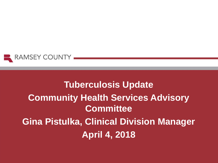

# **Tuberculosis Update Community Health Services Advisory Committee Gina Pistulka, Clinical Division Manager April 4, 2018**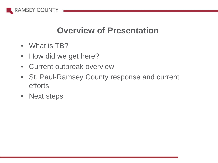

#### **Overview of Presentation**

- What is TB?
- How did we get here?
- Current outbreak overview
- St. Paul-Ramsey County response and current efforts
- Next steps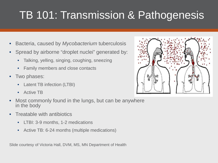# TB 101: Transmission & Pathogenesis

- Bacteria, caused by *Mycobacterium* tuberculosis
- Spread by airborne "droplet nuclei" generated by:
	- Talking, yelling, singing, coughing, sneezing
	- Family members and close contacts
- Two phases:
	- Latent TB infection (LTBI)
	- Active TB
- Most commonly found in the lungs, but can be anywhere in the body
- Treatable with antibiotics
	- LTBI: 3-9 months, 1-2 medications
	- Active TB: 6-24 months (multiple medications)

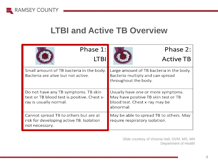

#### **LTBI and Active TB Overview**

| Phase 1:                                                                                                      | Phase 2:                                                                                                                  |
|---------------------------------------------------------------------------------------------------------------|---------------------------------------------------------------------------------------------------------------------------|
|                                                                                                               | <b>Active TB</b>                                                                                                          |
| Small amount of TB bacteria in the body.<br>Bacteria are alive but not active.                                | Large amount of TB bacteria in the body.<br>Bacteria multiply and can spread<br>throughout the body.                      |
| Do not have any TB symptoms. TB skin<br>test or TB blood test is positive. Chest x-<br>ray is usually normal. | Usually have one or more symptoms.<br>May have positive TB skin test or TB<br>blood test. Chest x-ray may be<br>abnormal. |
| Cannot spread TB to others but are at<br>risk for developing active TB. Isolation<br>not necessary.           | May be able to spread TB to others. May<br>require respiratory isolation.                                                 |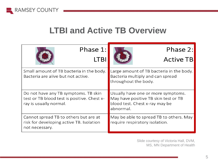

#### **LTBI and Active TB Overview**

| Phase 1:                                                                                                      | Phase 2:                                                                                                                  |
|---------------------------------------------------------------------------------------------------------------|---------------------------------------------------------------------------------------------------------------------------|
|                                                                                                               | <b>Active TB</b>                                                                                                          |
| Small amount of TB bacteria in the body.<br>Bacteria are alive but not active.                                | Large amount of TB bacteria in the body.<br>Bacteria multiply and can spread<br>throughout the body.                      |
| Do not have any TB symptoms. TB skin<br>test or TB blood test is positive. Chest x-<br>ray is usually normal. | Usually have one or more symptoms.<br>May have positive TB skin test or TB<br>blood test. Chest x-ray may be<br>abnormal. |
| Cannot spread TB to others but are at<br>risk for developing active TB. Isolation<br>not necessary.           | May be able to spread TB to others. May<br>require respiratory isolation.                                                 |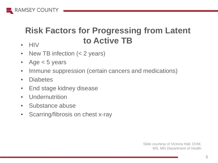

# **Risk Factors for Progressing from Latent to Active TB**

- HIV
- New TB infection (< 2 years)
- Age < 5 years
- Immune suppression (certain cancers and medications)
- Diabetes
- End stage kidney disease
- Undernutrition
- Substance abuse
- Scarring/fibrosis on chest x-ray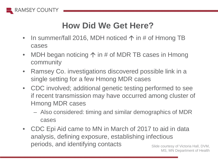

# **How Did We Get Here?**

- In summer/fall 2016, MDH noticed  $\uparrow$  in # of Hmong TB cases
- MDH began noticing  $\uparrow$  in # of MDR TB cases in Hmong community
- Ramsey Co. investigations discovered possible link in a single setting for a few Hmong MDR cases
- CDC involved; additional genetic testing performed to see if recent transmission may have occurred among cluster of Hmong MDR cases
	- Also considered: timing and similar demographics of MDR cases
- CDC Epi Aid came to MN in March of 2017 to aid in data analysis, defining exposure, establishing infectious periods, and identifying contacts Slide courtesy of Victoria Hall, DVM,

MS, MN Department of Health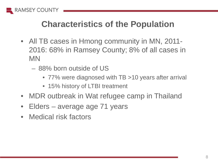

### **Characteristics of the Population**

- All TB cases in Hmong community in MN, 2011-2016: 68% in Ramsey County; 8% of all cases in MN
	- 88% born outside of US
		- 77% were diagnosed with TB > 10 years after arrival
		- 15% history of LTBI treatment
- MDR outbreak in Wat refugee camp in Thailand
- Elders average age 71 years
- Medical risk factors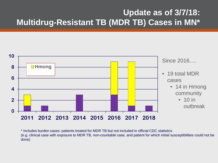#### **Update as of 3/7/18: Multidrug-Resistant TB (MDR TB) Cases in MN\***



\* Includes burden cases: patients treated for MDR TB but not included in official CDC statistics (e.g. clinical case with exposure to MDR TB, non-countable case, and patient for which initial susceptibilities could not be done)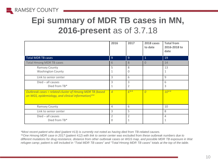

# **Epi summary of MDR TB cases in MN, 2016-present** as of 3.7.18

|                                                                                                              | 2016                | 2017                | 2018 cases<br>to date | <b>Total from</b><br>2016-2018 to<br>date |
|--------------------------------------------------------------------------------------------------------------|---------------------|---------------------|-----------------------|-------------------------------------------|
| <b>Total MDR TB cases</b>                                                                                    | 9                   | 9                   | $\mathbf{1}$          | 19                                        |
| <b>Total Hmong MDR TB cases</b>                                                                              | 6                   | 8                   | $\Omega$              | 14                                        |
| Ramsey County<br><b>Washington County</b>                                                                    | 5<br>1              | 8<br>0              |                       | 13<br>1                                   |
| Link to senior center                                                                                        | 3                   | 6                   |                       | 9                                         |
| $Died - all causes$<br>Died from TB*                                                                         | 3<br>1              | 3<br>2              |                       | 6<br>3                                    |
| Outbreak cases = related cluster of Hmong MDR TB (based<br>on WGS, epidemiology, and clinical information)** | $\overline{4}$      | $6***$              | $\Omega$              | $10**$                                    |
| Ramsey County                                                                                                | $\overline{4}$      | 6                   |                       | 10                                        |
| Link to senior center                                                                                        | 3                   | 5                   |                       | 8                                         |
| $Died$ – all causes<br>Died from TB*                                                                         | $\overline{2}$<br>0 | $\overline{2}$<br>1 |                       | 4                                         |

*\*Most recent patient who died (patient #13) is currently not noted as having died from TB-related causes.*

*\*\*One Hmong MDR case in 2017 (patient #12) with link to senior center was excluded from these outbreak numbers due to different mutations for drug resistance, distance from other outbreak cases on WGS map, and possible MDR TB exposure in Wat refugee camp; patient is still included in "Total MDR TB cases" and "Total Hmong MDR TB cases" totals at the top of the table.*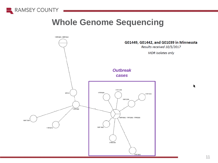

#### **Whole Genome Sequencing**

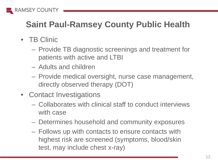

# **Saint Paul-Ramsey County Public Health**

- TB Clinic
	- Provide TB diagnostic screenings and treatment for patients with active and LTBI
	- Adults and children
	- Provide medical oversight, nurse case management, directly observed therapy (DOT)
- Contact Investigations
	- Collaborates with clinical staff to conduct interviews with case
	- Determines household and community exposures
	- Follows up with contacts to ensure contacts with highest risk are screened (symptoms, blood/skin test, may include chest x-ray)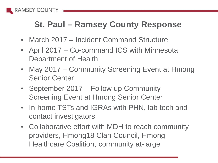

## **St. Paul – Ramsey County Response**

- March 2017 Incident Command Structure
- April 2017 Co-command ICS with Minnesota Department of Health
- May 2017 Community Screening Event at Hmong Senior Center
- September 2017 Follow up Community Screening Event at Hmong Senior Center
- In-home TSTs and IGRAs with PHN, lab tech and contact investigators
- Collaborative effort with MDH to reach community providers, Hmong18 Clan Council, Hmong Healthcare Coalition, community at-large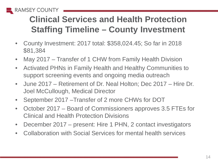

# **Clinical Services and Health Protection Staffing Timeline – County Investment**

- County Investment: 2017 total: \$358,024.45; So far in 2018 \$81,384
- May 2017 Transfer of 1 CHW from Family Health Division
- Activated PHNs in Family Health and Healthy Communities to support screening events and ongoing media outreach
- June 2017 Retirement of Dr. Neal Holton; Dec 2017 Hire Dr. Joel McCullough, Medical Director
- September 2017 –Transfer of 2 more CHWs for DOT
- October 2017 Board of Commissioners approves 3.5 FTEs for Clinical and Health Protection Divisions
- December 2017 present: Hire 1 PHN, 2 contact investigators
- Collaboration with Social Services for mental health services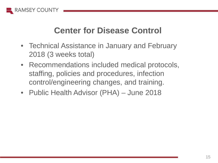

### **Center for Disease Control**

- Technical Assistance in January and February 2018 (3 weeks total)
- Recommendations included medical protocols, staffing, policies and procedures, infection control/engineering changes, and training.
- Public Health Advisor (PHA) June 2018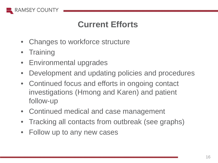

### **Current Efforts**

- Changes to workforce structure
- Training
- Environmental upgrades
- Development and updating policies and procedures
- Continued focus and efforts in ongoing contact investigations (Hmong and Karen) and patient follow-up
- Continued medical and case management
- Tracking all contacts from outbreak (see graphs)
- Follow up to any new cases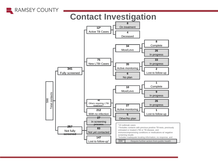

#### **Contact Investigation**

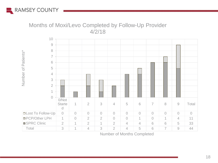

#### Months of Moxi/Levo Completed by Follow-Up Provider 4/2/18



Number of Months Completed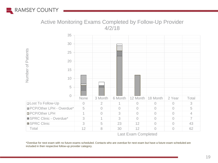

#### Active Monitoring Exams Completed by Follow-Up Provider 4/2/18



Last Exam Completed

\*Overdue for next exam with no future exams scheduled. Contacts who are overdue for next exam but have a future exam scheduled are included in their respective follow-up provider category.